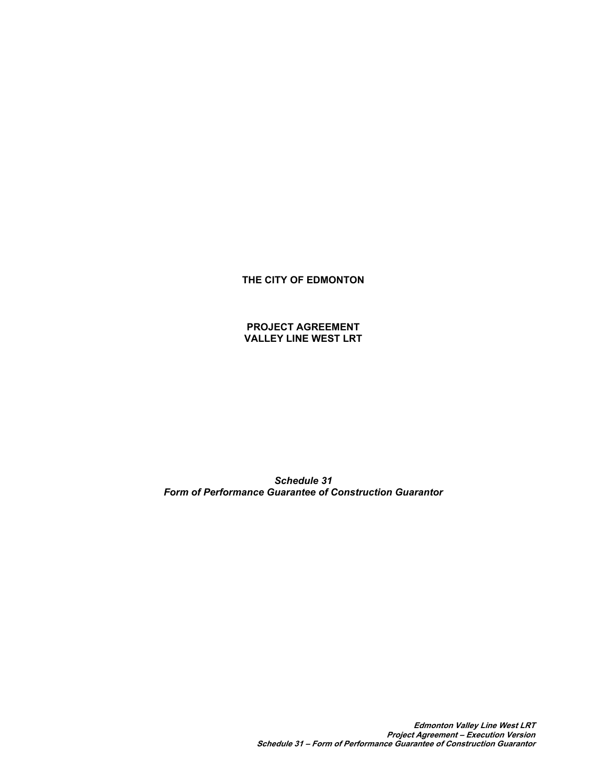**THE CITY OF EDMONTON**

**PROJECT AGREEMENT VALLEY LINE WEST LRT** 

*Schedule 31 Form of Performance Guarantee of Construction Guarantor*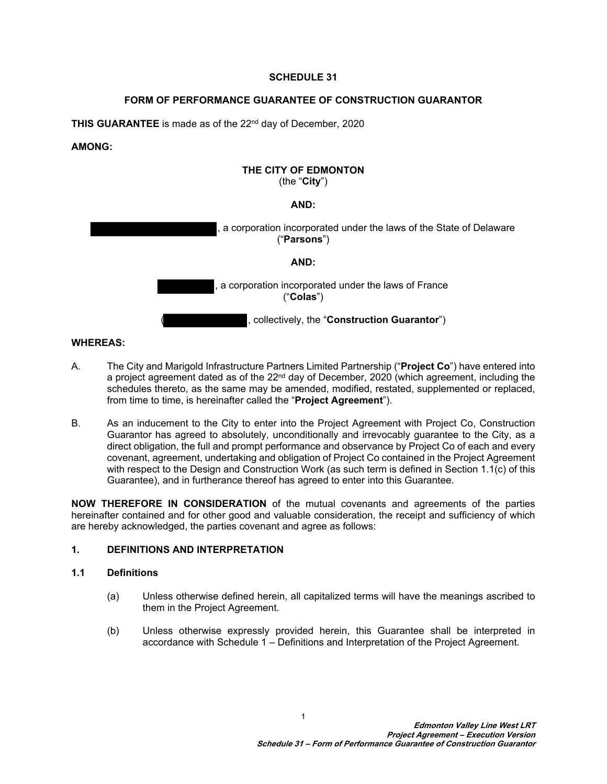# **SCHEDULE 31**

# **FORM OF PERFORMANCE GUARANTEE OF CONSTRUCTION GUARANTOR**

**THIS GUARANTEE** is made as of the 22nd day of December, 2020

# **AMONG:**

### **THE CITY OF EDMONTON** (the "**City**")

# **AND:**



# **WHEREAS:**

- A. The City and Marigold Infrastructure Partners Limited Partnership ("**Project Co**") have entered into a project agreement dated as of the  $22<sup>nd</sup>$  day of December, 2020 (which agreement, including the schedules thereto, as the same may be amended, modified, restated, supplemented or replaced, from time to time, is hereinafter called the "**Project Agreement**").
- B. As an inducement to the City to enter into the Project Agreement with Project Co, Construction Guarantor has agreed to absolutely, unconditionally and irrevocably guarantee to the City, as a direct obligation, the full and prompt performance and observance by Project Co of each and every covenant, agreement, undertaking and obligation of Project Co contained in the Project Agreement with respect to the Design and Construction Work (as such term is defined in Section [1.1\(c\)](#page-2-0) of this Guarantee), and in furtherance thereof has agreed to enter into this Guarantee.

**NOW THEREFORE IN CONSIDERATION** of the mutual covenants and agreements of the parties hereinafter contained and for other good and valuable consideration, the receipt and sufficiency of which are hereby acknowledged, the parties covenant and agree as follows:

# **1. DEFINITIONS AND INTERPRETATION**

### **1.1 Definitions**

- (a) Unless otherwise defined herein, all capitalized terms will have the meanings ascribed to them in the Project Agreement.
- (b) Unless otherwise expressly provided herein, this Guarantee shall be interpreted in accordance with Schedule 1 – Definitions and Interpretation of the Project Agreement.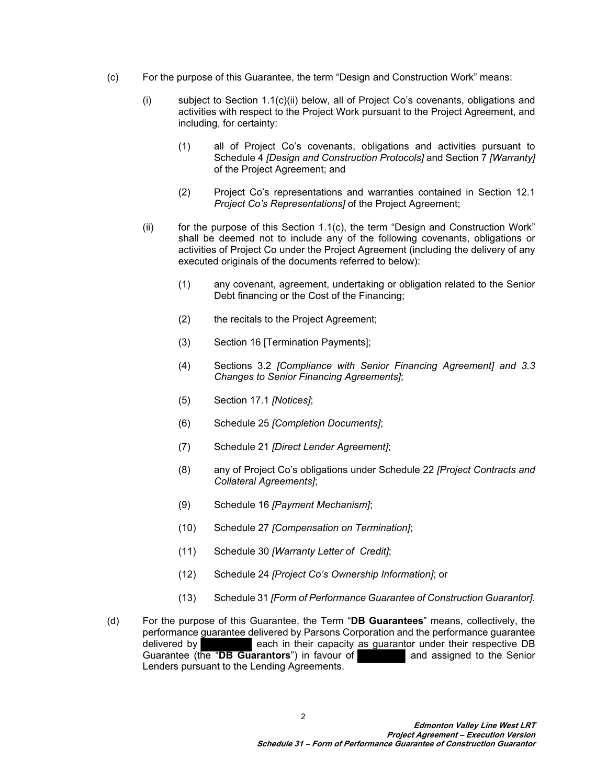- <span id="page-2-1"></span><span id="page-2-0"></span>(c) For the purpose of this Guarantee, the term "Design and Construction Work" means:
	- (i) subject to Section  $1.1(c)(ii)$  below, all of Project Co's covenants, obligations and activities with respect to the Project Work pursuant to the Project Agreement, and including, for certainty:
		- (1) all of Project Co's covenants, obligations and activities pursuant to Schedule 4 *[Design and Construction Protocols]* and Section 7 *[Warranty]* of the Project Agreement; and
		- (2) Project Co's representations and warranties contained in Section 12.1 *Project Co's Representations]* of the Project Agreement;
	- $(i)$  for the purpose of this Section 1.1 $(c)$ , the term "Design and Construction Work" shall be deemed not to include any of the following covenants, obligations or activities of Project Co under the Project Agreement (including the delivery of any executed originals of the documents referred to below):
		- (1) any covenant, agreement, undertaking or obligation related to the Senior Debt financing or the Cost of the Financing;
		- (2) the recitals to the Project Agreement;
		- (3) Section 16 [Termination Payments];
		- (4) Sections 3.2 *[Compliance with Senior Financing Agreement] and 3.3 Changes to Senior Financing Agreements]*;
		- (5) Section 17.1 *[Notices]*;
		- (6) Schedule 25 *[Completion Documents]*;
		- (7) Schedule 21 *[Direct Lender Agreement]*;
		- (8) any of Project Co's obligations under Schedule 22 *[Project Contracts and Collateral Agreements]*;
		- (9) Schedule 16 *[Payment Mechanism]*;
		- (10) Schedule 27 *[Compensation on Termination]*;
		- (11) Schedule 30 *[Warranty Letter of Credit]*;
		- (12) Schedule 24 *[Project Co's Ownership Information]*; or
		- (13) Schedule 31 *[Form of Performance Guarantee of Construction Guarantor]*.
- (d) For the purpose of this Guarantee, the Term "**DB Guarantees**" means, collectively, the performance guarantee delivered by Parsons Corporation and the performance guarantee delivered by each in their capacity as guarantor under their respective DB Guarantee (the "**DB Guarantors**") in favour of **and assigned to the Senior** Lenders pursuant to the Lending Agreements.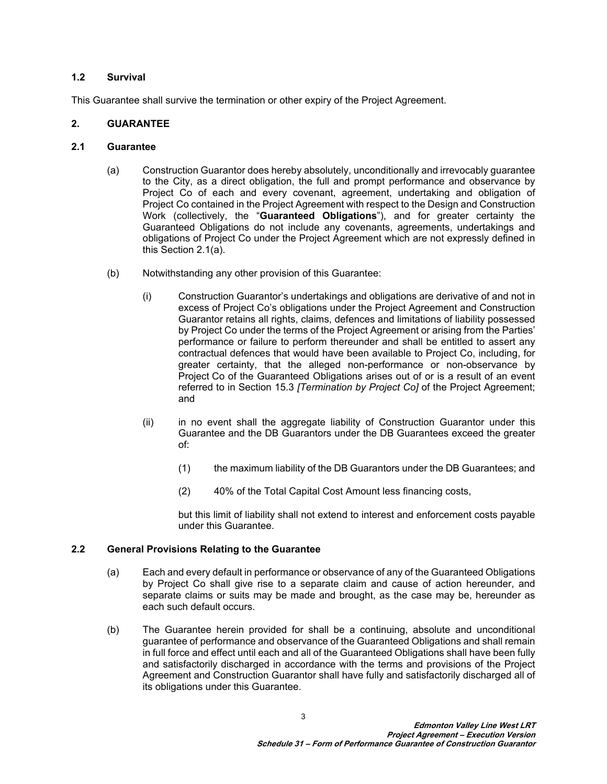### **1.2 Survival**

This Guarantee shall survive the termination or other expiry of the Project Agreement.

# **2. GUARANTEE**

# **2.1 Guarantee**

- <span id="page-3-0"></span>(a) Construction Guarantor does hereby absolutely, unconditionally and irrevocably guarantee to the City, as a direct obligation, the full and prompt performance and observance by Project Co of each and every covenant, agreement, undertaking and obligation of Project Co contained in the Project Agreement with respect to the Design and Construction Work (collectively, the "**Guaranteed Obligations**"), and for greater certainty the Guaranteed Obligations do not include any covenants, agreements, undertakings and obligations of Project Co under the Project Agreement which are not expressly defined in this Section [2.1\(a\).](#page-3-0)
- (b) Notwithstanding any other provision of this Guarantee:
	- (i) Construction Guarantor's undertakings and obligations are derivative of and not in excess of Project Co's obligations under the Project Agreement and Construction Guarantor retains all rights, claims, defences and limitations of liability possessed by Project Co under the terms of the Project Agreement or arising from the Parties' performance or failure to perform thereunder and shall be entitled to assert any contractual defences that would have been available to Project Co, including, for greater certainty, that the alleged non-performance or non-observance by Project Co of the Guaranteed Obligations arises out of or is a result of an event referred to in Section 15.3 *[Termination by Project Co]* of the Project Agreement; and
	- (ii) in no event shall the aggregate liability of Construction Guarantor under this Guarantee and the DB Guarantors under the DB Guarantees exceed the greater of:
		- (1) the maximum liability of the DB Guarantors under the DB Guarantees; and
		- (2) 40% of the Total Capital Cost Amount less financing costs,

but this limit of liability shall not extend to interest and enforcement costs payable under this Guarantee.

### **2.2 General Provisions Relating to the Guarantee**

- (a) Each and every default in performance or observance of any of the Guaranteed Obligations by Project Co shall give rise to a separate claim and cause of action hereunder, and separate claims or suits may be made and brought, as the case may be, hereunder as each such default occurs.
- (b) The Guarantee herein provided for shall be a continuing, absolute and unconditional guarantee of performance and observance of the Guaranteed Obligations and shall remain in full force and effect until each and all of the Guaranteed Obligations shall have been fully and satisfactorily discharged in accordance with the terms and provisions of the Project Agreement and Construction Guarantor shall have fully and satisfactorily discharged all of its obligations under this Guarantee.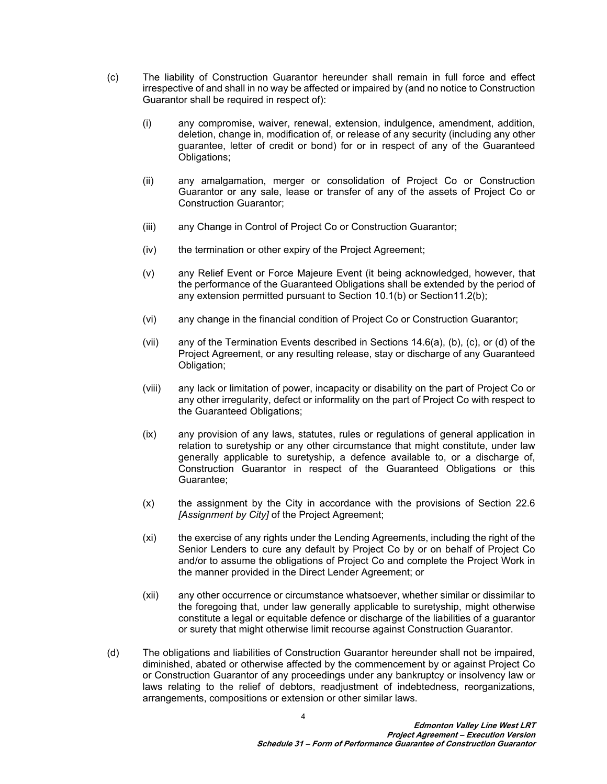- (c) The liability of Construction Guarantor hereunder shall remain in full force and effect irrespective of and shall in no way be affected or impaired by (and no notice to Construction Guarantor shall be required in respect of):
	- (i) any compromise, waiver, renewal, extension, indulgence, amendment, addition, deletion, change in, modification of, or release of any security (including any other guarantee, letter of credit or bond) for or in respect of any of the Guaranteed Obligations;
	- (ii) any amalgamation, merger or consolidation of Project Co or Construction Guarantor or any sale, lease or transfer of any of the assets of Project Co or Construction Guarantor;
	- (iii) any Change in Control of Project Co or Construction Guarantor;
	- (iv) the termination or other expiry of the Project Agreement;
	- (v) any Relief Event or Force Majeure Event (it being acknowledged, however, that the performance of the Guaranteed Obligations shall be extended by the period of any extension permitted pursuant to Section 10.1(b) or Section11.2(b);
	- (vi) any change in the financial condition of Project Co or Construction Guarantor;
	- (vii) any of the Termination Events described in Sections 14.6(a), (b), (c), or (d) of the Project Agreement, or any resulting release, stay or discharge of any Guaranteed Obligation;
	- (viii) any lack or limitation of power, incapacity or disability on the part of Project Co or any other irregularity, defect or informality on the part of Project Co with respect to the Guaranteed Obligations;
	- (ix) any provision of any laws, statutes, rules or regulations of general application in relation to suretyship or any other circumstance that might constitute, under law generally applicable to suretyship, a defence available to, or a discharge of, Construction Guarantor in respect of the Guaranteed Obligations or this Guarantee;
	- (x) the assignment by the City in accordance with the provisions of Section 22.6 *[Assignment by City]* of the Project Agreement;
	- (xi) the exercise of any rights under the Lending Agreements, including the right of the Senior Lenders to cure any default by Project Co by or on behalf of Project Co and/or to assume the obligations of Project Co and complete the Project Work in the manner provided in the Direct Lender Agreement; or
	- (xii) any other occurrence or circumstance whatsoever, whether similar or dissimilar to the foregoing that, under law generally applicable to suretyship, might otherwise constitute a legal or equitable defence or discharge of the liabilities of a guarantor or surety that might otherwise limit recourse against Construction Guarantor.
- (d) The obligations and liabilities of Construction Guarantor hereunder shall not be impaired, diminished, abated or otherwise affected by the commencement by or against Project Co or Construction Guarantor of any proceedings under any bankruptcy or insolvency law or laws relating to the relief of debtors, readjustment of indebtedness, reorganizations, arrangements, compositions or extension or other similar laws.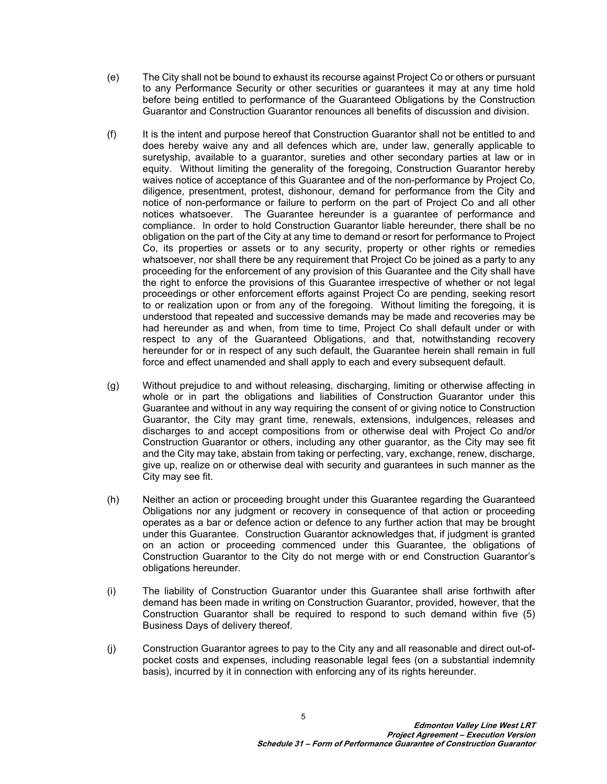- (e) The City shall not be bound to exhaust its recourse against Project Co or others or pursuant to any Performance Security or other securities or guarantees it may at any time hold before being entitled to performance of the Guaranteed Obligations by the Construction Guarantor and Construction Guarantor renounces all benefits of discussion and division.
- (f) It is the intent and purpose hereof that Construction Guarantor shall not be entitled to and does hereby waive any and all defences which are, under law, generally applicable to suretyship, available to a guarantor, sureties and other secondary parties at law or in equity. Without limiting the generality of the foregoing, Construction Guarantor hereby waives notice of acceptance of this Guarantee and of the non-performance by Project Co, diligence, presentment, protest, dishonour, demand for performance from the City and notice of non-performance or failure to perform on the part of Project Co and all other notices whatsoever. The Guarantee hereunder is a guarantee of performance and compliance. In order to hold Construction Guarantor liable hereunder, there shall be no obligation on the part of the City at any time to demand or resort for performance to Project Co, its properties or assets or to any security, property or other rights or remedies whatsoever, nor shall there be any requirement that Project Co be joined as a party to any proceeding for the enforcement of any provision of this Guarantee and the City shall have the right to enforce the provisions of this Guarantee irrespective of whether or not legal proceedings or other enforcement efforts against Project Co are pending, seeking resort to or realization upon or from any of the foregoing. Without limiting the foregoing, it is understood that repeated and successive demands may be made and recoveries may be had hereunder as and when, from time to time, Project Co shall default under or with respect to any of the Guaranteed Obligations, and that, notwithstanding recovery hereunder for or in respect of any such default, the Guarantee herein shall remain in full force and effect unamended and shall apply to each and every subsequent default.
- (g) Without prejudice to and without releasing, discharging, limiting or otherwise affecting in whole or in part the obligations and liabilities of Construction Guarantor under this Guarantee and without in any way requiring the consent of or giving notice to Construction Guarantor, the City may grant time, renewals, extensions, indulgences, releases and discharges to and accept compositions from or otherwise deal with Project Co and/or Construction Guarantor or others, including any other guarantor, as the City may see fit and the City may take, abstain from taking or perfecting, vary, exchange, renew, discharge, give up, realize on or otherwise deal with security and guarantees in such manner as the City may see fit.
- (h) Neither an action or proceeding brought under this Guarantee regarding the Guaranteed Obligations nor any judgment or recovery in consequence of that action or proceeding operates as a bar or defence action or defence to any further action that may be brought under this Guarantee. Construction Guarantor acknowledges that, if judgment is granted on an action or proceeding commenced under this Guarantee, the obligations of Construction Guarantor to the City do not merge with or end Construction Guarantor's obligations hereunder.
- (i) The liability of Construction Guarantor under this Guarantee shall arise forthwith after demand has been made in writing on Construction Guarantor, provided, however, that the Construction Guarantor shall be required to respond to such demand within five (5) Business Days of delivery thereof.
- (j) Construction Guarantor agrees to pay to the City any and all reasonable and direct out-ofpocket costs and expenses, including reasonable legal fees (on a substantial indemnity basis), incurred by it in connection with enforcing any of its rights hereunder.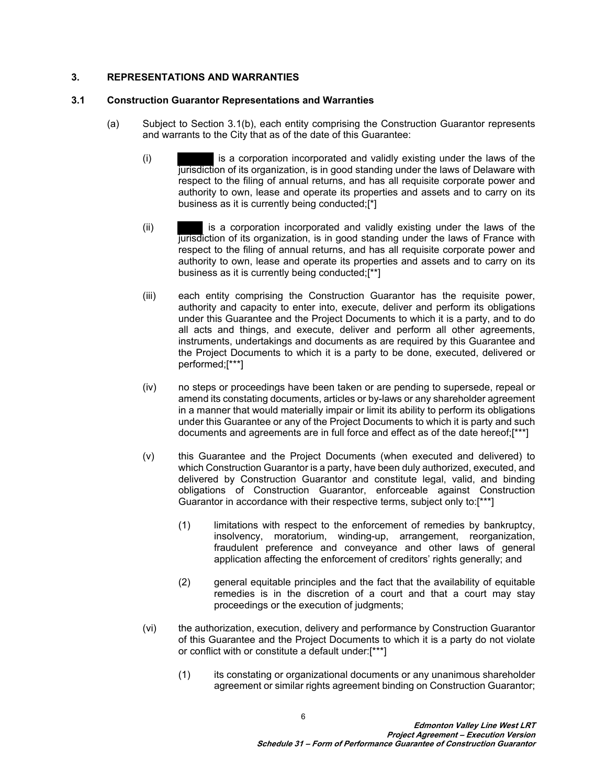## **3. REPRESENTATIONS AND WARRANTIES**

### **3.1 Construction Guarantor Representations and Warranties**

- (a) Subject to Section [3.1\(b\),](#page-7-0) each entity comprising the Construction Guarantor represents and warrants to the City that as of the date of this Guarantee:
	- (i) is a corporation incorporated and validly existing under the laws of the jurisdiction of its organization, is in good standing under the laws of Delaware with respect to the filing of annual returns, and has all requisite corporate power and authority to own, lease and operate its properties and assets and to carry on its business as it is currently being conducted;[\*]
	- (ii) is a corporation incorporated and validly existing under the laws of the jurisdiction of its organization, is in good standing under the laws of France with respect to the filing of annual returns, and has all requisite corporate power and authority to own, lease and operate its properties and assets and to carry on its business as it is currently being conducted;[\*\*]
	- (iii) each entity comprising the Construction Guarantor has the requisite power, authority and capacity to enter into, execute, deliver and perform its obligations under this Guarantee and the Project Documents to which it is a party, and to do all acts and things, and execute, deliver and perform all other agreements, instruments, undertakings and documents as are required by this Guarantee and the Project Documents to which it is a party to be done, executed, delivered or performed;[\*\*\*]
	- (iv) no steps or proceedings have been taken or are pending to supersede, repeal or amend its constating documents, articles or by-laws or any shareholder agreement in a manner that would materially impair or limit its ability to perform its obligations under this Guarantee or any of the Project Documents to which it is party and such documents and agreements are in full force and effect as of the date hereof;[\*\*\*]
	- (v) this Guarantee and the Project Documents (when executed and delivered) to which Construction Guarantor is a party, have been duly authorized, executed, and delivered by Construction Guarantor and constitute legal, valid, and binding obligations of Construction Guarantor, enforceable against Construction Guarantor in accordance with their respective terms, subject only to:[\*\*\*]
		- (1) limitations with respect to the enforcement of remedies by bankruptcy, insolvency, moratorium, winding-up, arrangement, reorganization, fraudulent preference and conveyance and other laws of general application affecting the enforcement of creditors' rights generally; and
		- (2) general equitable principles and the fact that the availability of equitable remedies is in the discretion of a court and that a court may stay proceedings or the execution of judgments;
	- (vi) the authorization, execution, delivery and performance by Construction Guarantor of this Guarantee and the Project Documents to which it is a party do not violate or conflict with or constitute a default under:[\*\*\*]

6

(1) its constating or organizational documents or any unanimous shareholder agreement or similar rights agreement binding on Construction Guarantor;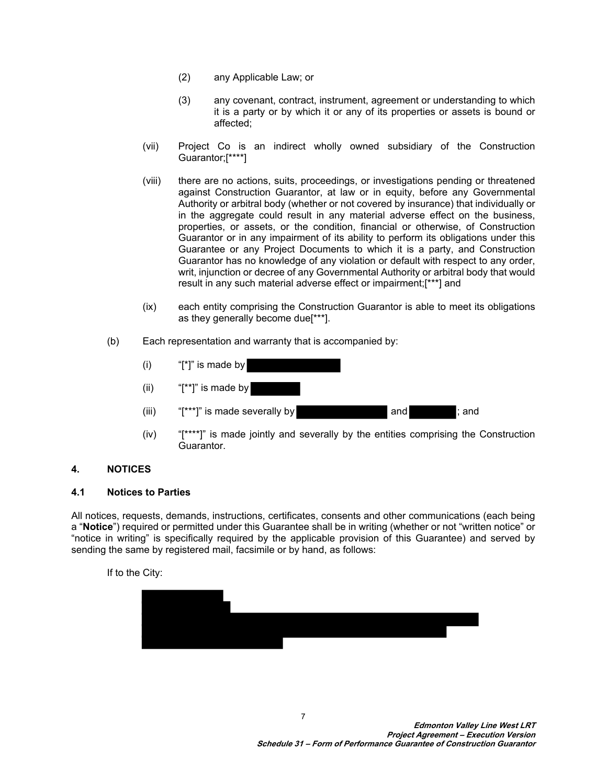- (2) any Applicable Law; or
- (3) any covenant, contract, instrument, agreement or understanding to which it is a party or by which it or any of its properties or assets is bound or affected;
- (vii) Project Co is an indirect wholly owned subsidiary of the Construction Guarantor;[\*\*\*\*]
- (viii) there are no actions, suits, proceedings, or investigations pending or threatened against Construction Guarantor, at law or in equity, before any Governmental Authority or arbitral body (whether or not covered by insurance) that individually or in the aggregate could result in any material adverse effect on the business, properties, or assets, or the condition, financial or otherwise, of Construction Guarantor or in any impairment of its ability to perform its obligations under this Guarantee or any Project Documents to which it is a party, and Construction Guarantor has no knowledge of any violation or default with respect to any order, writ, injunction or decree of any Governmental Authority or arbitral body that would result in any such material adverse effect or impairment;[\*\*\*] and
- (ix) each entity comprising the Construction Guarantor is able to meet its obligations as they generally become due[\*\*\*].
- <span id="page-7-0"></span>(b) Each representation and warranty that is accompanied by:
	- $(i)$  "[\*]" is made by (ii)  $"['^*]"$  is made by (iii)  $"[***]"$  is made severally by  $"$  and  $"$ ; and  $"$ ; and
	- (iv) "[\*\*\*\*]" is made jointly and severally by the entities comprising the Construction Guarantor.

# <span id="page-7-2"></span>**4. NOTICES**

### <span id="page-7-1"></span>**4.1 Notices to Parties**

All notices, requests, demands, instructions, certificates, consents and other communications (each being a "**Notice**") required or permitted under this Guarantee shall be in writing (whether or not "written notice" or "notice in writing" is specifically required by the applicable provision of this Guarantee) and served by sending the same by registered mail, facsimile or by hand, as follows:

If to the City:

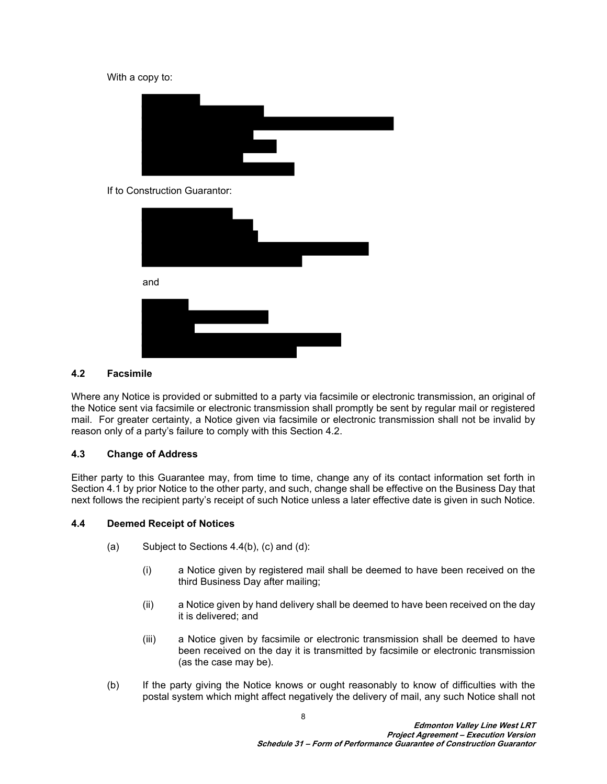#### With a copy to:



#### If to Construction Guarantor:



### <span id="page-8-0"></span>**4.2 Facsimile**

Where any Notice is provided or submitted to a party via facsimile or electronic transmission, an original of the Notice sent via facsimile or electronic transmission shall promptly be sent by regular mail or registered mail. For greater certainty, a Notice given via facsimile or electronic transmission shall not be invalid by reason only of a party's failure to comply with this Section [4.2.](#page-8-0)

### **4.3 Change of Address**

Either party to this Guarantee may, from time to time, change any of its contact information set forth in Section [4.1](#page-7-1) by prior Notice to the other party, and such, change shall be effective on the Business Day that next follows the recipient party's receipt of such Notice unless a later effective date is given in such Notice.

#### **4.4 Deemed Receipt of Notices**

- (a) Subject to Sections [4.4\(b\),](#page-8-1) (c) and (d):
	- (i) a Notice given by registered mail shall be deemed to have been received on the third Business Day after mailing;
	- (ii) a Notice given by hand delivery shall be deemed to have been received on the day it is delivered; and
	- (iii) a Notice given by facsimile or electronic transmission shall be deemed to have been received on the day it is transmitted by facsimile or electronic transmission (as the case may be).
- <span id="page-8-1"></span>(b) If the party giving the Notice knows or ought reasonably to know of difficulties with the postal system which might affect negatively the delivery of mail, any such Notice shall not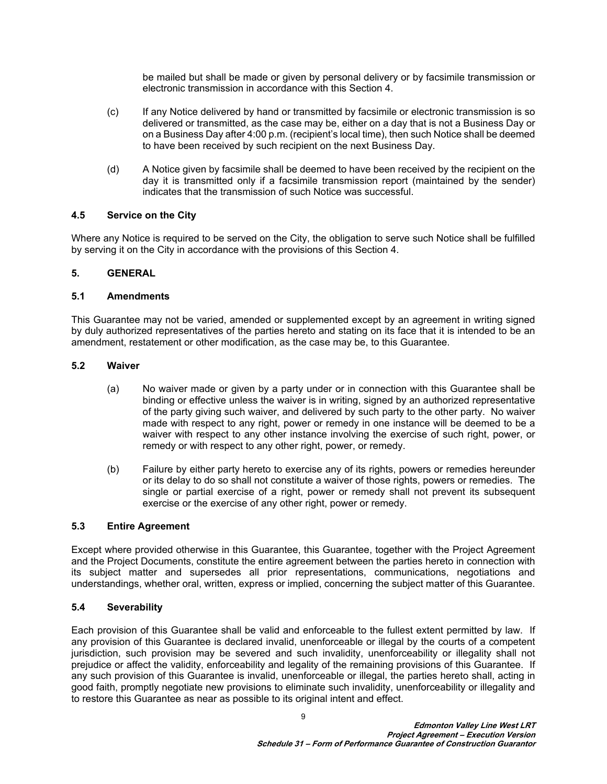be mailed but shall be made or given by personal delivery or by facsimile transmission or electronic transmission in accordance with this Section [4](#page-7-2).

- (c) If any Notice delivered by hand or transmitted by facsimile or electronic transmission is so delivered or transmitted, as the case may be, either on a day that is not a Business Day or on a Business Day after 4:00 p.m. (recipient's local time), then such Notice shall be deemed to have been received by such recipient on the next Business Day.
- (d) A Notice given by facsimile shall be deemed to have been received by the recipient on the day it is transmitted only if a facsimile transmission report (maintained by the sender) indicates that the transmission of such Notice was successful.

### **4.5 Service on the City**

Where any Notice is required to be served on the City, the obligation to serve such Notice shall be fulfilled by serving it on the City in accordance with the provisions of this Section [4.](#page-7-2)

# **5. GENERAL**

### **5.1 Amendments**

This Guarantee may not be varied, amended or supplemented except by an agreement in writing signed by duly authorized representatives of the parties hereto and stating on its face that it is intended to be an amendment, restatement or other modification, as the case may be, to this Guarantee.

### **5.2 Waiver**

- (a) No waiver made or given by a party under or in connection with this Guarantee shall be binding or effective unless the waiver is in writing, signed by an authorized representative of the party giving such waiver, and delivered by such party to the other party. No waiver made with respect to any right, power or remedy in one instance will be deemed to be a waiver with respect to any other instance involving the exercise of such right, power, or remedy or with respect to any other right, power, or remedy.
- (b) Failure by either party hereto to exercise any of its rights, powers or remedies hereunder or its delay to do so shall not constitute a waiver of those rights, powers or remedies. The single or partial exercise of a right, power or remedy shall not prevent its subsequent exercise or the exercise of any other right, power or remedy.

### **5.3 Entire Agreement**

Except where provided otherwise in this Guarantee, this Guarantee, together with the Project Agreement and the Project Documents, constitute the entire agreement between the parties hereto in connection with its subject matter and supersedes all prior representations, communications, negotiations and understandings, whether oral, written, express or implied, concerning the subject matter of this Guarantee.

### **5.4 Severability**

Each provision of this Guarantee shall be valid and enforceable to the fullest extent permitted by law. If any provision of this Guarantee is declared invalid, unenforceable or illegal by the courts of a competent jurisdiction, such provision may be severed and such invalidity, unenforceability or illegality shall not prejudice or affect the validity, enforceability and legality of the remaining provisions of this Guarantee. If any such provision of this Guarantee is invalid, unenforceable or illegal, the parties hereto shall, acting in good faith, promptly negotiate new provisions to eliminate such invalidity, unenforceability or illegality and to restore this Guarantee as near as possible to its original intent and effect.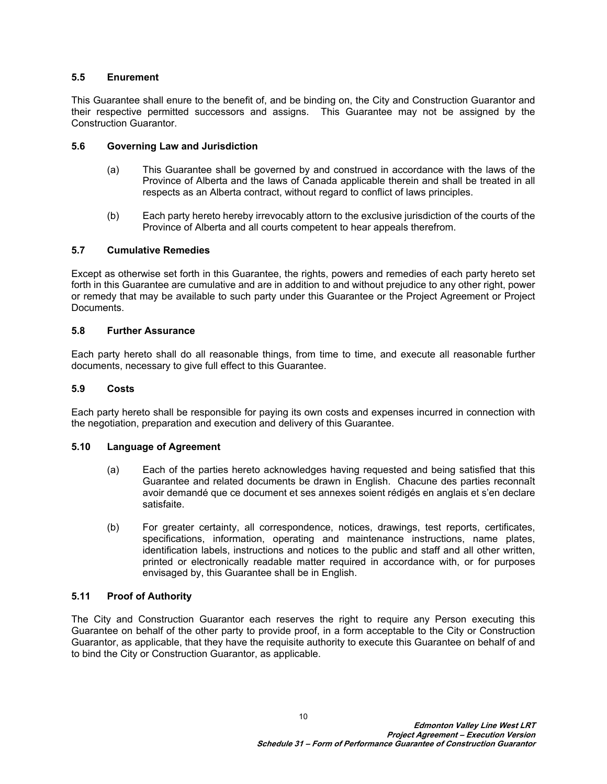### **5.5 Enurement**

This Guarantee shall enure to the benefit of, and be binding on, the City and Construction Guarantor and their respective permitted successors and assigns. This Guarantee may not be assigned by the Construction Guarantor.

## **5.6 Governing Law and Jurisdiction**

- (a) This Guarantee shall be governed by and construed in accordance with the laws of the Province of Alberta and the laws of Canada applicable therein and shall be treated in all respects as an Alberta contract, without regard to conflict of laws principles.
- (b) Each party hereto hereby irrevocably attorn to the exclusive jurisdiction of the courts of the Province of Alberta and all courts competent to hear appeals therefrom.

# **5.7 Cumulative Remedies**

Except as otherwise set forth in this Guarantee, the rights, powers and remedies of each party hereto set forth in this Guarantee are cumulative and are in addition to and without prejudice to any other right, power or remedy that may be available to such party under this Guarantee or the Project Agreement or Project Documents.

### **5.8 Further Assurance**

Each party hereto shall do all reasonable things, from time to time, and execute all reasonable further documents, necessary to give full effect to this Guarantee.

### **5.9 Costs**

Each party hereto shall be responsible for paying its own costs and expenses incurred in connection with the negotiation, preparation and execution and delivery of this Guarantee.

### **5.10 Language of Agreement**

- (a) Each of the parties hereto acknowledges having requested and being satisfied that this Guarantee and related documents be drawn in English. Chacune des parties reconnaît avoir demandé que ce document et ses annexes soient rédigés en anglais et s'en declare satisfaite.
- (b) For greater certainty, all correspondence, notices, drawings, test reports, certificates, specifications, information, operating and maintenance instructions, name plates, identification labels, instructions and notices to the public and staff and all other written, printed or electronically readable matter required in accordance with, or for purposes envisaged by, this Guarantee shall be in English.

### **5.11 Proof of Authority**

The City and Construction Guarantor each reserves the right to require any Person executing this Guarantee on behalf of the other party to provide proof, in a form acceptable to the City or Construction Guarantor, as applicable, that they have the requisite authority to execute this Guarantee on behalf of and to bind the City or Construction Guarantor, as applicable.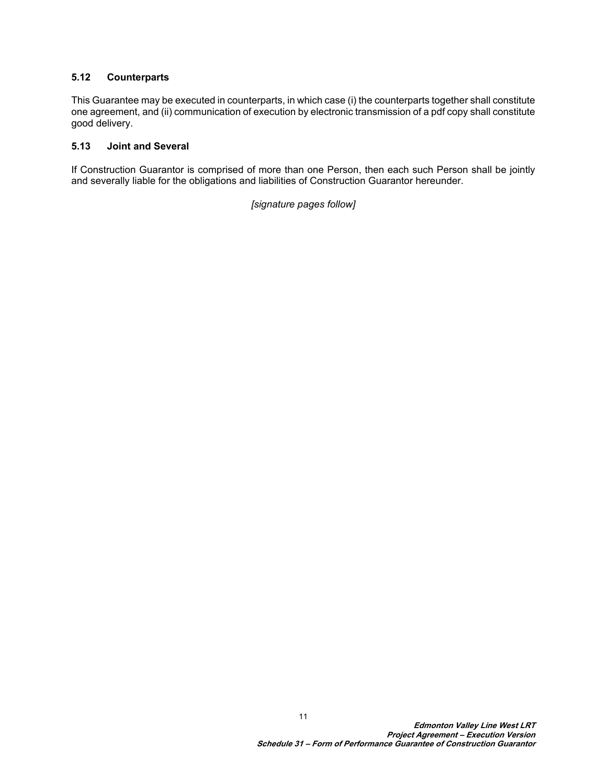# **5.12 Counterparts**

This Guarantee may be executed in counterparts, in which case (i) the counterparts together shall constitute one agreement, and (ii) communication of execution by electronic transmission of a pdf copy shall constitute good delivery.

## **5.13 Joint and Several**

If Construction Guarantor is comprised of more than one Person, then each such Person shall be jointly and severally liable for the obligations and liabilities of Construction Guarantor hereunder.

*[signature pages follow]*